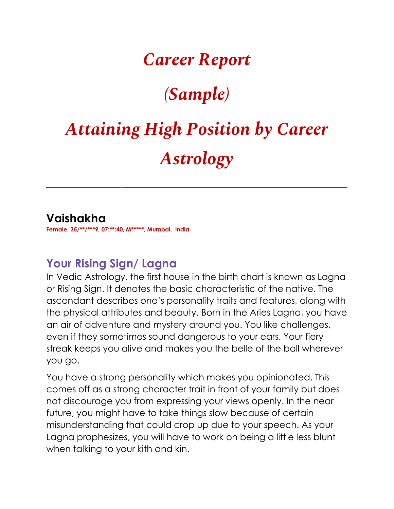### *Career Report*

## *(Sample)*

# *Attaining High Position by Career Astrology*

*\_\_\_\_\_\_\_\_\_\_\_\_\_\_\_\_\_\_\_\_\_\_\_\_\_\_\_\_\_\_\_\_\_\_\_\_\_\_\_\_\_\_\_\_\_\_\_\_\_\_\_\_*

#### **Vaishakha**

**Female, 35/\*\*/\*\*\*9, 07:\*\*:40, M\*\*\*\*\*, Mumbai, India**

#### **Your Rising Sign/ Lagna**

In Vedic Astrology, the first house in the birth chart is known as Lagna or Rising Sign. It denotes the basic characteristic of the native. The ascendant describes one's personality traits and features, along with the physical attributes and beauty. Born in the Aries Lagna, you have an air of adventure and mystery around you. You like challenges, even if they sometimes sound dangerous to your ears. Your fiery streak keeps you alive and makes you the belle of the ball wherever you go.

You have a strong personality which makes you opinionated. This comes off as a strong character trait in front of your family but does not discourage you from expressing your views openly. In the near future, you might have to take things slow because of certain misunderstanding that could crop up due to your speech. As your Lagna prophesizes, you will have to work on being a little less blunt when talking to your kith and kin.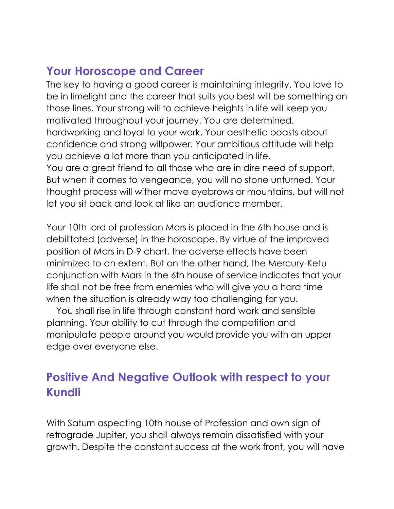#### **Your Horoscope and Career**

The key to having a good career is maintaining integrity. You love to be in limelight and the career that suits you best will be something on those lines. Your strong will to achieve heights in life will keep you motivated throughout your journey. You are determined, hardworking and loyal to your work. Your aesthetic boasts about confidence and strong willpower. Your ambitious attitude will help you achieve a lot more than you anticipated in life. You are a great friend to all those who are in dire need of support. But when it comes to vengeance, you will no stone unturned. Your thought process will wither move eyebrows or mountains, but will not let you sit back and look at like an audience member.

Your 10th lord of profession Mars is placed in the 6th house and is debilitated (adverse) in the horoscope. By virtue of the improved position of Mars in D-9 chart, the adverse effects have been minimized to an extent. But on the other hand, the Mercury-Ketu conjunction with Mars in the 6th house of service indicates that your life shall not be free from enemies who will give you a hard time when the situation is already way too challenging for you.

 You shall rise in life through constant hard work and sensible planning. Your ability to cut through the competition and manipulate people around you would provide you with an upper edge over everyone else.

#### **Positive And Negative Outlook with respect to your Kundli**

With Saturn aspecting 10th house of Profession and own sign of retrograde Jupiter, you shall always remain dissatisfied with your growth. Despite the constant success at the work front, you will have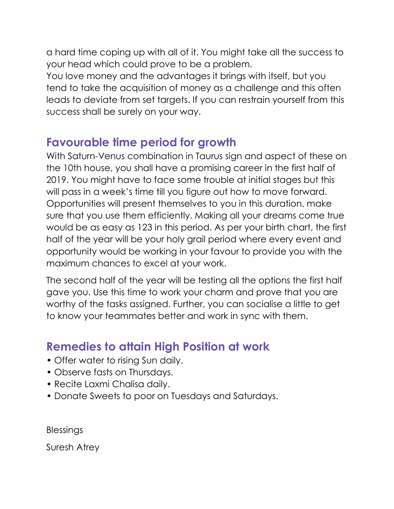a hard time coping up with all of it. You might take all the success to your head which could prove to be a problem.

You love money and the advantages it brings with itself, but you tend to take the acquisition of money as a challenge and this often leads to deviate from set targets. If you can restrain yourself from this success shall be surely on your way.

#### **Favourable time period for growth**

With Saturn-Venus combination in Taurus sign and aspect of these on the 10th house, you shall have a promising career in the first half of 2019. You might have to face some trouble at initial stages but this will pass in a week's time till you figure out how to move forward. Opportunities will present themselves to you in this duration, make sure that you use them efficiently. Making all your dreams come true would be as easy as 123 in this period. As per your birth chart, the first half of the year will be your holy grail period where every event and opportunity would be working in your favour to provide you with the maximum chances to excel at your work.

The second half of the year will be testing all the options the first half gave you. Use this time to work your charm and prove that you are worthy of the tasks assigned. Further, you can socialise a little to get to know your teammates better and work in sync with them.

#### **Remedies to attain High Position at work**

- Offer water to rising Sun daily.
- Observe fasts on Thursdays.
- Recite Laxmi Chalisa daily.
- Donate Sweets to poor on Tuesdays and Saturdays.

Blessings

Suresh Atrey